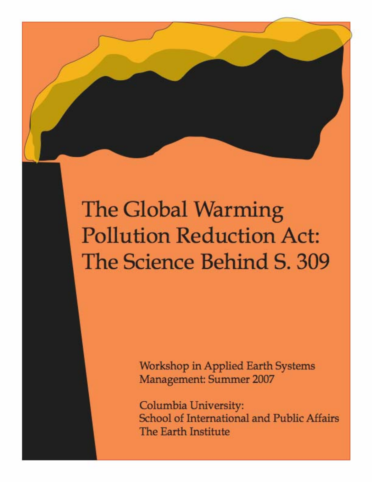# The Global Warming **Pollution Reduction Act:** The Science Behind S. 309

**Workshop in Applied Earth Systems Management: Summer 2007** 

Columbia University: School of International and Public Affairs The Earth Institute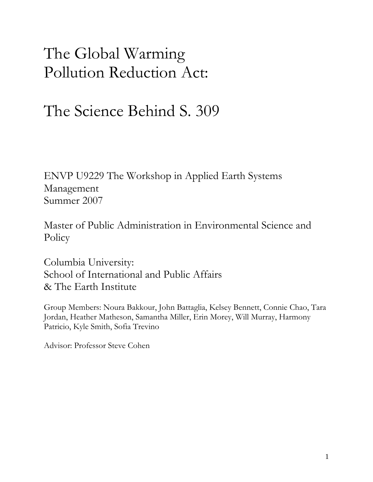## The Global Warming Pollution Reduction Act:

## The Science Behind S. 309

ENVP U9229 The Workshop in Applied Earth Systems Management Summer 2007

Master of Public Administration in Environmental Science and **Policy** 

Columbia University: School of International and Public Affairs & The Earth Institute

Group Members: Noura Bakkour, John Battaglia, Kelsey Bennett, Connie Chao, Tara Jordan, Heather Matheson, Samantha Miller, Erin Morey, Will Murray, Harmony Patricio, Kyle Smith, Sofia Trevino

Advisor: Professor Steve Cohen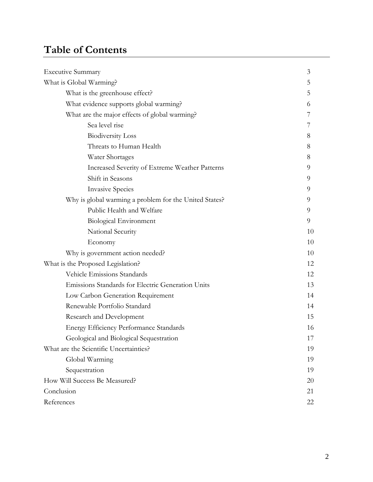### **Table of Contents**

| <b>Executive Summary</b>                               | 3  |
|--------------------------------------------------------|----|
| What is Global Warming?                                | 5  |
| What is the greenhouse effect?                         | 5  |
| What evidence supports global warming?                 | 6  |
| What are the major effects of global warming?          |    |
| Sea level rise                                         |    |
| <b>Biodiversity Loss</b>                               | 8  |
| Threats to Human Health                                | 8  |
| Water Shortages                                        | 8  |
| Increased Severity of Extreme Weather Patterns         | 9  |
| Shift in Seasons                                       | 9  |
| <b>Invasive Species</b>                                | 9  |
| Why is global warming a problem for the United States? | 9  |
| Public Health and Welfare                              | 9  |
| <b>Biological Environment</b>                          | 9  |
| National Security                                      | 10 |
| Economy                                                | 10 |
| Why is government action needed?                       | 10 |
| What is the Proposed Legislation?                      | 12 |
| Vehicle Emissions Standards                            | 12 |
| Emissions Standards for Electric Generation Units      | 13 |
| Low Carbon Generation Requirement                      | 14 |
| Renewable Portfolio Standard                           | 14 |
| Research and Development                               | 15 |
| <b>Energy Efficiency Performance Standards</b>         | 16 |
| Geological and Biological Sequestration                | 17 |
| What are the Scientific Uncertainties?                 | 19 |
| Global Warming                                         | 19 |
| Sequestration                                          | 19 |
| How Will Success Be Measured?                          | 20 |
| Conclusion                                             | 21 |
| References                                             | 22 |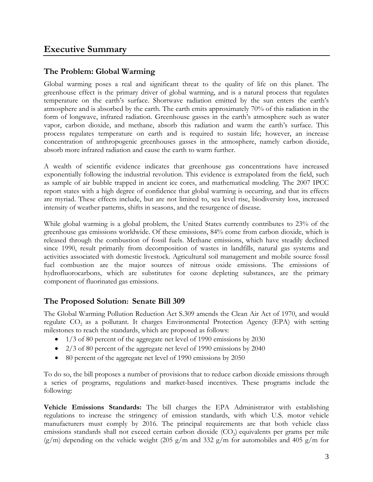### **The Problem: Global Warming**

Global warming poses a real and significant threat to the quality of life on this planet. The greenhouse effect is the primary driver of global warming, and is a natural process that regulates temperature on the earth's surface. Shortwave radiation emitted by the sun enters the earth's atmosphere and is absorbed by the earth. The earth emits approximately 70% of this radiation in the form of longwave, infrared radiation. Greenhouse gasses in the earth's atmosphere such as water vapor, carbon dioxide, and methane, absorb this radiation and warm the earth's surface. This process regulates temperature on earth and is required to sustain life; however, an increase concentration of anthropogenic greenhouses gasses in the atmosphere, namely carbon dioxide, absorb more infrared radiation and cause the earth to warm further.

A wealth of scientific evidence indicates that greenhouse gas concentrations have increased exponentially following the industrial revolution. This evidence is extrapolated from the field, such as sample of air bubble trapped in ancient ice cores, and mathematical modeling. The 2007 IPCC report states with a high degree of confidence that global warming is occurring, and that its effects are myriad. These effects include, but are not limited to, sea level rise, biodiversity loss, increased intensity of weather patterns, shifts in seasons, and the resurgence of disease.

While global warming is a global problem, the United States currently contributes to 23% of the greenhouse gas emissions worldwide. Of these emissions, 84% come from carbon dioxide, which is released through the combustion of fossil fuels. Methane emissions, which have steadily declined since 1990, result primarily from decomposition of wastes in landfills, natural gas systems and activities associated with domestic livestock. Agricultural soil management and mobile source fossil fuel combustion are the major sources of nitrous oxide emissions. The emissions of hydrofluorocarbons, which are substitutes for ozone depleting substances, are the primary component of fluorinated gas emissions.

### **The Proposed Solution: Senate Bill 309**

The Global Warming Pollution Reduction Act S.309 amends the Clean Air Act of 1970, and would regulate CO<sub>2</sub> as a pollutant. It charges Environmental Protection Agency (EPA) with setting milestones to reach the standards, which are proposed as follows:

- 1/3 of 80 percent of the aggregate net level of 1990 emissions by 2030
- 2/3 of 80 percent of the aggregate net level of 1990 emissions by 2040
- 80 percent of the aggregate net level of 1990 emissions by 2050

To do so, the bill proposes a number of provisions that to reduce carbon dioxide emissions through a series of programs, regulations and market-based incentives. These programs include the following:

**Vehicle Emissions Standards:** The bill charges the EPA Administrator with establishing regulations to increase the stringency of emission standards, with which U.S. motor vehicle manufacturers must comply by 2016. The principal requirements are that both vehicle class emissions standards shall not exceed certain carbon dioxide  $(CO<sub>2</sub>)$  equivalents per grams per mile  $(g/m)$  depending on the vehicle weight (205 g/m and 332 g/m for automobiles and 405 g/m for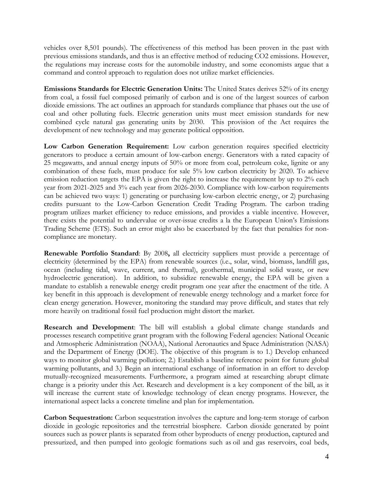vehicles over 8,501 pounds). The effectiveness of this method has been proven in the past with previous emissions standards, and thus is an effective method of reducing CO2 emissions. However, the regulations may increase costs for the automobile industry, and some economists argue that a command and control approach to regulation does not utilize market efficiencies.

**Emissions Standards for Electric Generation Units:** The United States derives 52% of its energy from coal, a fossil fuel composed primarily of carbon and is one of the largest sources of carbon dioxide emissions. The act outlines an approach for standards compliance that phases out the use of coal and other polluting fuels. Electric generation units must meet emission standards for new combined cycle natural gas generating units by 2030. This provision of the Act requires the development of new technology and may generate political opposition.

**Low Carbon Generation Requirement:** Low carbon generation requires specified electricity generators to produce a certain amount of low-carbon energy. Generators with a rated capacity of 25 megawatts, and annual energy inputs of 50% or more from coal, petroleum coke, lignite or any combination of these fuels, must produce for sale 5% low carbon electricity by 2020. To achieve emission reduction targets the EPA is given the right to increase the requirement by up to 2% each year from 2021-2025 and 3% each year from 2026-2030. Compliance with low-carbon requirements can be achieved two ways: 1) generating or purchasing low-carbon electric energy, or 2) purchasing credits pursuant to the Low-Carbon Generation Credit Trading Program. The carbon trading program utilizes market efficiency to reduce emissions, and provides a viable incentive. However, there exists the potential to undervalue or over-issue credits a la the European Union's Emissions Trading Scheme (ETS). Such an error might also be exacerbated by the fact that penalties for noncompliance are monetary.

**Renewable Portfolio Standard**: By 2008**,** all electricity suppliers must provide a percentage of electricity (determined by the EPA) from renewable sources (i.e., solar, wind, biomass, landfill gas, ocean (including tidal, wave, current, and thermal), geothermal, municipal solid waste, or new hydroelectric generation). In addition, to subsidize renewable energy, the EPA will be given a mandate to establish a renewable energy credit program one year after the enactment of the title. A key benefit in this approach is development of renewable energy technology and a market force for clean energy generation. However, monitoring the standard may prove difficult, and states that rely more heavily on traditional fossil fuel production might distort the market.

**Research and Development**: The bill will establish a global climate change standards and processes research competitive grant program with the following Federal agencies: National Oceanic and Atmospheric Administration (NOAA), National Aeronautics and Space Administration (NASA) and the Department of Energy (DOE). The objective of this program is to 1.) Develop enhanced ways to monitor global warming pollution; 2.) Establish a baseline reference point for future global warming pollutants, and 3.) Begin an international exchange of information in an effort to develop mutually-recognized measurements. Furthermore, a program aimed at researching abrupt climate change is a priority under this Act. Research and development is a key component of the bill, as it will increase the current state of knowledge technology of clean energy programs. However, the international aspect lacks a concrete timeline and plan for implementation.

**Carbon Sequestration:** Carbon sequestration involves the capture and long-term storage of carbon dioxide in geologic repositories and the terrestrial biosphere. Carbon dioxide generated by point sources such as power plants is separated from other byproducts of energy production, captured and pressurized, and then pumped into geologic formations such as oil and gas reservoirs, coal beds,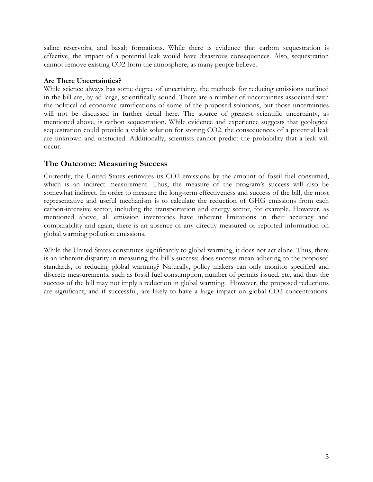saline reservoirs, and basalt formations. While there is evidence that carbon sequestration is effective, the impact of a potential leak would have disastrous consequences. Also, sequestration cannot remove existing CO2 from the atmosphere, as many people believe.

### **Are There Uncertainties?**

While science always has some degree of uncertainty, the methods for reducing emissions outlined in the bill are, by ad large, scientifically sound. There are a number of uncertainties associated with the political ad economic ramifications of some of the proposed solutions, but those uncertainties will not be discussed in further detail here. The source of greatest scientific uncertainty, as mentioned above, is carbon sequestration. While evidence and experience suggests that geological sequestration could provide a viable solution for storing CO2, the consequences of a potential leak are unknown and unstudied. Additionally, scientists cannot predict the probability that a leak will occur.

### **The Outcome: Measuring Success**

Currently, the United States estimates its CO2 emissions by the amount of fossil fuel consumed, which is an indirect measurement. Thus, the measure of the program's success will also be somewhat indirect. In order to measure the long-term effectiveness and success of the bill, the most representative and useful mechanism is to calculate the reduction of GHG emissions from each carbon-intensive sector, including the transportation and energy sector, for example. However, as mentioned above, all emission inventories have inherent limitations in their accuracy and comparability and again, there is an absence of any directly measured or reported information on global warming pollution emissions.

While the United States constitutes significantly to global warming, it does not act alone. Thus, there is an inherent disparity in measuring the bill's success: does success mean adhering to the proposed standards, or reducing global warming? Naturally, policy makers can only monitor specified and discrete measurements, such as fossil fuel consumption, number of permits issued, etc, and thus the success of the bill may not imply a reduction in global warming. However, the proposed reductions are significant, and if successful, are likely to have a large impact on global CO2 concentrations.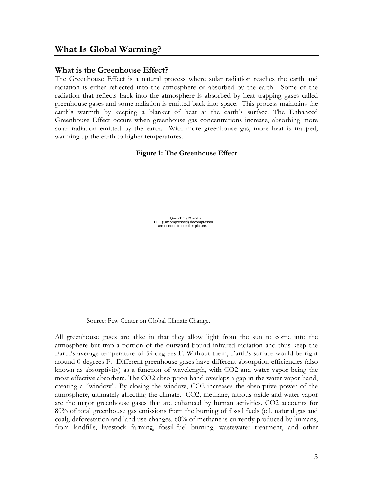### **What is the Greenhouse Effect?**

The Greenhouse Effect is a natural process where solar radiation reaches the earth and radiation is either reflected into the atmosphere or absorbed by the earth. Some of the radiation that reflects back into the atmosphere is absorbed by heat trapping gases called greenhouse gases and some radiation is emitted back into space. This process maintains the earth's warmth by keeping a blanket of heat at the earth's surface. The Enhanced Greenhouse Effect occurs when greenhouse gas concentrations increase, absorbing more solar radiation emitted by the earth. With more greenhouse gas, more heat is trapped, warming up the earth to higher temperatures.

**Figure 1: The Greenhouse Effect** 

QuickTime™ and a<br>TIFF (Uncompressed) decompressor<br>are needed to see this picture.

Source: Pew Center on Global Climate Change.

All greenhouse gases are alike in that they allow light from the sun to come into the atmosphere but trap a portion of the outward-bound infrared radiation and thus keep the Earth's average temperature of 59 degrees F. Without them, Earth's surface would be right around 0 degrees F. Different greenhouse gases have different absorption efficiencies (also known as absorptivity) as a function of wavelength, with CO2 and water vapor being the most effective absorbers. The CO2 absorption band overlaps a gap in the water vapor band, creating a "window". By closing the window, CO2 increases the absorptive power of the atmosphere, ultimately affecting the climate. CO2, methane, nitrous oxide and water vapor are the major greenhouse gases that are enhanced by human activities. CO2 accounts for 80% of total greenhouse gas emissions from the burning of fossil fuels (oil, natural gas and coal), deforestation and land use changes. 60% of methane is currently produced by humans, from landfills, livestock farming, fossil-fuel burning, wastewater treatment, and other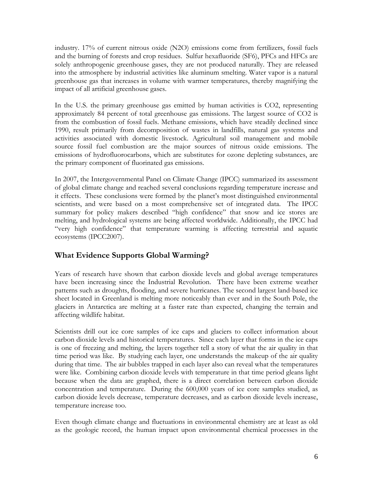industry. 17% of current nitrous oxide (N2O) emissions come from fertilizers, fossil fuels and the burning of forests and crop residues. Sulfur hexafluoride (SF6), PFCs and HFCs are solely anthropogenic greenhouse gases, they are not produced naturally. They are released into the atmosphere by industrial activities like aluminum smelting. Water vapor is a natural greenhouse gas that increases in volume with warmer temperatures, thereby magnifying the impact of all artificial greenhouse gases.

In the U.S. the primary greenhouse gas emitted by human activities is CO2, representing approximately 84 percent of total greenhouse gas emissions. The largest source of CO2 is from the combustion of fossil fuels. Methane emissions, which have steadily declined since 1990, result primarily from decomposition of wastes in landfills, natural gas systems and activities associated with domestic livestock. Agricultural soil management and mobile source fossil fuel combustion are the major sources of nitrous oxide emissions. The emissions of hydrofluorocarbons, which are substitutes for ozone depleting substances, are the primary component of fluorinated gas emissions.

In 2007, the Intergovernmental Panel on Climate Change (IPCC) summarized its assessment of global climate change and reached several conclusions regarding temperature increase and it effects. These conclusions were formed by the planet's most distinguished environmental scientists, and were based on a most comprehensive set of integrated data. The IPCC summary for policy makers described "high confidence" that snow and ice stores are melting, and hydrological systems are being affected worldwide. Additionally, the IPCC had "very high confidence" that temperature warming is affecting terrestrial and aquatic ecosystems (IPCC2007).

### **What Evidence Supports Global Warming?**

Years of research have shown that carbon dioxide levels and global average temperatures have been increasing since the Industrial Revolution. There have been extreme weather patterns such as droughts, flooding, and severe hurricanes. The second largest land-based ice sheet located in Greenland is melting more noticeably than ever and in the South Pole, the glaciers in Antarctica are melting at a faster rate than expected, changing the terrain and affecting wildlife habitat.

Scientists drill out ice core samples of ice caps and glaciers to collect information about carbon dioxide levels and historical temperatures. Since each layer that forms in the ice caps is one of freezing and melting, the layers together tell a story of what the air quality in that time period was like. By studying each layer, one understands the makeup of the air quality during that time. The air bubbles trapped in each layer also can reveal what the temperatures were like. Combining carbon dioxide levels with temperature in that time period gleans light because when the data are graphed, there is a direct correlation between carbon dioxide concentration and temperature. During the 600,000 years of ice core samples studied, as carbon dioxide levels decrease, temperature decreases, and as carbon dioxide levels increase, temperature increase too.

Even though climate change and fluctuations in environmental chemistry are at least as old as the geologic record, the human impact upon environmental chemical processes in the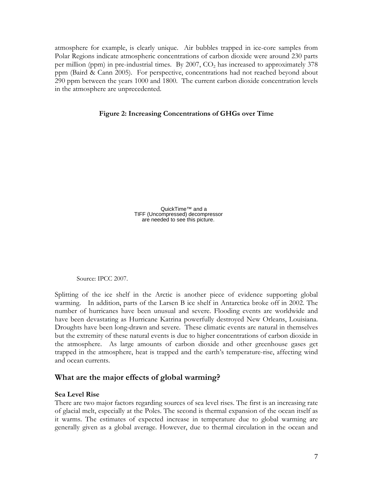atmosphere for example, is clearly unique. Air bubbles trapped in ice-core samples from Polar Regions indicate atmospheric concentrations of carbon dioxide were around 230 parts per million (ppm) in pre-industrial times. By 2007,  $CO<sub>2</sub>$  has increased to approximately 378 ppm (Baird & Cann 2005). For perspective, concentrations had not reached beyond about 290 ppm between the years 1000 and 1800. The current carbon dioxide concentration levels in the atmosphere are unprecedented.

### **Figure 2: Increasing Concentrations of GHGs over Time**

QuickTime™ and a TIFF (Uncompressed) decompressor are needed to see this picture.

Source: IPCC 2007.

Splitting of the ice shelf in the Arctic is another piece of evidence supporting global warming. In addition, parts of the Larsen B ice shelf in Antarctica broke off in 2002. The number of hurricanes have been unusual and severe. Flooding events are worldwide and have been devastating as Hurricane Katrina powerfully destroyed New Orleans, Louisiana. Droughts have been long-drawn and severe. These climatic events are natural in themselves but the extremity of these natural events is due to higher concentrations of carbon dioxide in the atmosphere. As large amounts of carbon dioxide and other greenhouse gases get trapped in the atmosphere, heat is trapped and the earth's temperature-rise, affecting wind and ocean currents.

### **What are the major effects of global warming?**

#### **Sea Level Rise**

There are two major factors regarding sources of sea level rises. The first is an increasing rate of glacial melt, especially at the Poles. The second is thermal expansion of the ocean itself as it warms. The estimates of expected increase in temperature due to global warming are generally given as a global average. However, due to thermal circulation in the ocean and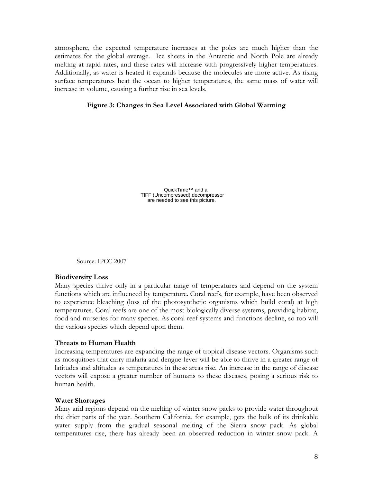atmosphere, the expected temperature increases at the poles are much higher than the estimates for the global average. Ice sheets in the Antarctic and North Pole are already melting at rapid rates, and these rates will increase with progressively higher temperatures. Additionally, as water is heated it expands because the molecules are more active. As rising surface temperatures heat the ocean to higher temperatures, the same mass of water will increase in volume, causing a further rise in sea levels.

### **Figure 3: Changes in Sea Level Associated with Global Warming**

QuickTime™ and a TIFF (Uncompressed) decompressor are needed to see this picture.

Source: IPCC 2007

#### **Biodiversity Loss**

Many species thrive only in a particular range of temperatures and depend on the system functions which are influenced by temperature. Coral reefs, for example, have been observed to experience bleaching (loss of the photosynthetic organisms which build coral) at high temperatures. Coral reefs are one of the most biologically diverse systems, providing habitat, food and nurseries for many species. As coral reef systems and functions decline, so too will the various species which depend upon them.

#### **Threats to Human Health**

Increasing temperatures are expanding the range of tropical disease vectors. Organisms such as mosquitoes that carry malaria and dengue fever will be able to thrive in a greater range of latitudes and altitudes as temperatures in these areas rise. An increase in the range of disease vectors will expose a greater number of humans to these diseases, posing a serious risk to human health.

#### **Water Shortages**

Many arid regions depend on the melting of winter snow packs to provide water throughout the drier parts of the year. Southern California, for example, gets the bulk of its drinkable water supply from the gradual seasonal melting of the Sierra snow pack. As global temperatures rise, there has already been an observed reduction in winter snow pack. A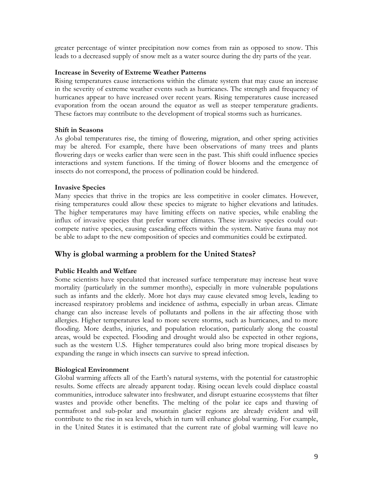greater percentage of winter precipitation now comes from rain as opposed to snow. This leads to a decreased supply of snow melt as a water source during the dry parts of the year.

### **Increase in Severity of Extreme Weather Patterns**

Rising temperatures cause interactions within the climate system that may cause an increase in the severity of extreme weather events such as hurricanes. The strength and frequency of hurricanes appear to have increased over recent years. Rising temperatures cause increased evaporation from the ocean around the equator as well as steeper temperature gradients. These factors may contribute to the development of tropical storms such as hurricanes.

### **Shift in Seasons**

As global temperatures rise, the timing of flowering, migration, and other spring activities may be altered. For example, there have been observations of many trees and plants flowering days or weeks earlier than were seen in the past. This shift could influence species interactions and system functions. If the timing of flower blooms and the emergence of insects do not correspond, the process of pollination could be hindered.

### **Invasive Species**

Many species that thrive in the tropics are less competitive in cooler climates. However, rising temperatures could allow these species to migrate to higher elevations and latitudes. The higher temperatures may have limiting effects on native species, while enabling the influx of invasive species that prefer warmer climates. These invasive species could outcompete native species, causing cascading effects within the system. Native fauna may not be able to adapt to the new composition of species and communities could be extirpated.

### **Why is global warming a problem for the United States?**

### **Public Health and Welfare**

Some scientists have speculated that increased surface temperature may increase heat wave mortality (particularly in the summer months), especially in more vulnerable populations such as infants and the elderly. More hot days may cause elevated smog levels, leading to increased respiratory problems and incidence of asthma, especially in urban areas. Climate change can also increase levels of pollutants and pollens in the air affecting those with allergies. Higher temperatures lead to more severe storms, such as hurricanes, and to more flooding. More deaths, injuries, and population relocation, particularly along the coastal areas, would be expected. Flooding and drought would also be expected in other regions, such as the western U.S. Higher temperatures could also bring more tropical diseases by expanding the range in which insects can survive to spread infection.

### **Biological Environment**

Global warming affects all of the Earth's natural systems, with the potential for catastrophic results. Some effects are already apparent today. Rising ocean levels could displace coastal communities, introduce saltwater into freshwater, and disrupt estuarine ecosystems that filter wastes and provide other benefits. The melting of the polar ice caps and thawing of permafrost and sub-polar and mountain glacier regions are already evident and will contribute to the rise in sea levels, which in turn will enhance global warming. For example, in the United States it is estimated that the current rate of global warming will leave no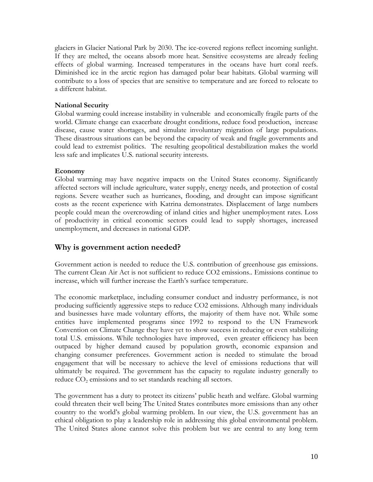glaciers in Glacier National Park by 2030. The ice-covered regions reflect incoming sunlight. If they are melted, the oceans absorb more heat. Sensitive ecosystems are already feeling effects of global warming. Increased temperatures in the oceans have hurt coral reefs. Diminished ice in the arctic region has damaged polar bear habitats. Global warming will contribute to a loss of species that are sensitive to temperature and are forced to relocate to a different habitat.

### **National Security**

Global warming could increase instability in vulnerable and economically fragile parts of the world. Climate change can exacerbate drought conditions, reduce food production, increase disease, cause water shortages, and simulate involuntary migration of large populations. These disastrous situations can be beyond the capacity of weak and fragile governments and could lead to extremist politics. The resulting geopolitical destabilization makes the world less safe and implicates U.S. national security interests.

### **Economy**

Global warming may have negative impacts on the United States economy. Significantly affected sectors will include agriculture, water supply, energy needs, and protection of costal regions. Severe weather such as hurricanes, flooding, and drought can impose significant costs as the recent experience with Katrina demonstrates. Displacement of large numbers people could mean the overcrowding of inland cities and higher unemployment rates. Loss of productivity in critical economic sectors could lead to supply shortages, increased unemployment, and decreases in national GDP.

### **Why is government action needed?**

Government action is needed to reduce the U.S. contribution of greenhouse gas emissions. The current Clean Air Act is not sufficient to reduce CO2 emissions.. Emissions continue to increase, which will further increase the Earth's surface temperature.

The economic marketplace, including consumer conduct and industry performance, is not producing sufficiently aggressive steps to reduce CO2 emissions. Although many individuals and businesses have made voluntary efforts, the majority of them have not. While some entities have implemented programs since 1992 to respond to the UN Framework Convention on Climate Change they have yet to show success in reducing or even stabilizing total U.S. emissions. While technologies have improved, even greater efficiency has been outpaced by higher demand caused by population growth, economic expansion and changing consumer preferences. Government action is needed to stimulate the broad engagement that will be necessary to achieve the level of emissions reductions that will ultimately be required. The government has the capacity to regulate industry generally to reduce  $CO<sub>2</sub>$  emissions and to set standards reaching all sectors.

The government has a duty to protect its citizens' public heath and welfare. Global warming could threaten their well being The United States contributes more emissions than any other country to the world's global warming problem. In our view, the U.S. government has an ethical obligation to play a leadership role in addressing this global environmental problem. The United States alone cannot solve this problem but we are central to any long term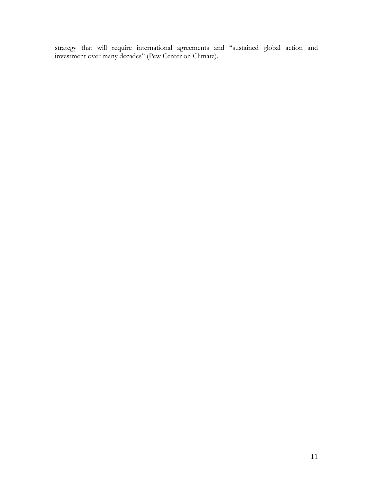strategy that will require international agreements and "sustained global action and investment over many decades" (Pew Center on Climate).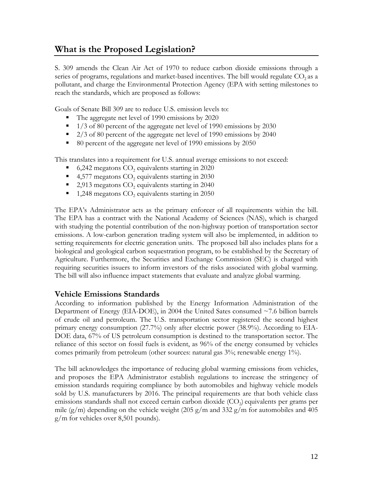### **What is the Proposed Legislation?**

S. 309 amends the Clean Air Act of 1970 to reduce carbon dioxide emissions through a series of programs, regulations and market-based incentives. The bill would regulate  $CO<sub>2</sub>$  as a pollutant, and charge the Environmental Protection Agency (EPA with setting milestones to reach the standards, which are proposed as follows:

Goals of Senate Bill 309 are to reduce U.S. emission levels to:

- The aggregate net level of 1990 emissions by 2020
- $\blacksquare$  1/3 of 80 percent of the aggregate net level of 1990 emissions by 2030
- $\approx 2/3$  of 80 percent of the aggregate net level of 1990 emissions by 2040
- 80 percent of the aggregate net level of 1990 emissions by 2050

This translates into a requirement for U.S. annual average emissions to not exceed:

- 6,242 megatons  $CO<sub>2</sub>$  equivalents starting in 2020
- 4,577 megatons  $CO<sub>2</sub>$  equivalents starting in 2030
- 2,913 megatons  $CO<sub>2</sub>$  equivalents starting in 2040
- $\blacksquare$  1,248 megatons CO<sub>2</sub> equivalents starting in 2050

The EPA's Administrator acts as the primary enforcer of all requirements within the bill. The EPA has a contract with the National Academy of Sciences (NAS), which is charged with studying the potential contribution of the non-highway portion of transportation sector emissions. A low-carbon generation trading system will also be implemented, in addition to setting requirements for electric generation units. The proposed bill also includes plans for a biological and geological carbon sequestration program, to be established by the Secretary of Agriculture. Furthermore, the Securities and Exchange Commission (SEC) is charged with requiring securities issuers to inform investors of the risks associated with global warming. The bill will also influence impact statements that evaluate and analyze global warming.

### **Vehicle Emissions Standards**

According to information published by the Energy Information Administration of the Department of Energy (EIA-DOE), in 2004 the United Sates consumed ~7.6 billion barrels of crude oil and petroleum. The U.S. transportation sector registered the second highest primary energy consumption (27.7%) only after electric power (38.9%). According to EIA-DOE data, 67% of US petroleum consumption is destined to the transportation sector. The reliance of this sector on fossil fuels is evident, as 96% of the energy consumed by vehicles comes primarily from petroleum (other sources: natural gas  $3\%$ ; renewable energy  $1\%$ ).

The bill acknowledges the importance of reducing global warming emissions from vehicles, and proposes the EPA Administrator establish regulations to increase the stringency of emission standards requiring compliance by both automobiles and highway vehicle models sold by U.S. manufacturers by 2016. The principal requirements are that both vehicle class emissions standards shall not exceed certain carbon dioxide  $(CO<sub>2</sub>)$  equivalents per grams per mile (g/m) depending on the vehicle weight (205 g/m and 332 g/m for automobiles and 405 g/m for vehicles over 8,501 pounds).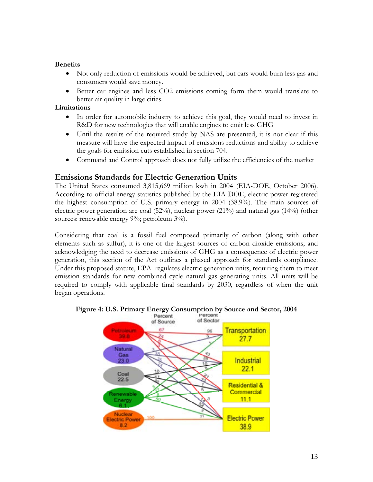### **Benefits**

- Not only reduction of emissions would be achieved, but cars would burn less gas and consumers would save money.
- Better car engines and less CO2 emissions coming form them would translate to better air quality in large cities.

### **Limitations**

- In order for automobile industry to achieve this goal, they would need to invest in R&D for new technologies that will enable engines to emit less GHG
- Until the results of the required study by NAS are presented, it is not clear if this measure will have the expected impact of emissions reductions and ability to achieve the goals for emission cuts established in section 704.
- Command and Control approach does not fully utilize the efficiencies of the market

### **Emissions Standards for Electric Generation Units**

The United States consumed 3,815,669 million kwh in 2004 (EIA-DOE, October 2006). According to official energy statistics published by the EIA-DOE, electric power registered the highest consumption of U.S. primary energy in 2004 (38.9%). The main sources of electric power generation are coal (52%), nuclear power (21%) and natural gas (14%) (other sources: renewable energy 9%; petroleum 3%).

Considering that coal is a fossil fuel composed primarily of carbon (along with other elements such as sulfur), it is one of the largest sources of carbon dioxide emissions; and acknowledging the need to decrease emissions of GHG as a consequence of electric power generation, this section of the Act outlines a phased approach for standards compliance. Under this proposed statute, EPA regulates electric generation units, requiring them to meet emission standards for new combined cycle natural gas generating units. All units will be required to comply with applicable final standards by 2030, regardless of when the unit began operations.



### **Figure [4: U.S. Primary Energy Consumption by Source and Sect](http://www.eia.doe.gov/emeu/aer/pecss_diagram.html)or, 2004**<br>Percent Percent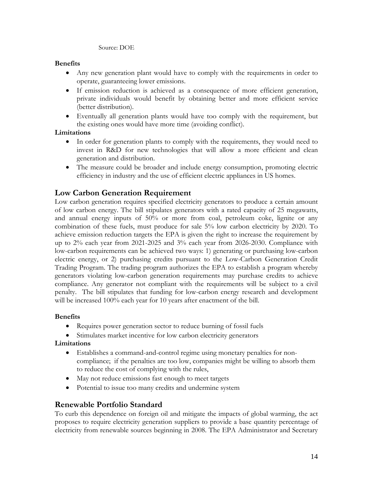#### Source: DOE

### **Benefits**

- Any new generation plant would have to comply with the requirements in order to operate, guaranteeing lower emissions.
- If emission reduction is achieved as a consequence of more efficient generation, private individuals would benefit by obtaining better and more efficient service (better distribution).
- Eventually all generation plants would have too comply with the requirement, but the existing ones would have more time (avoiding conflict).

### **Limitations**

- In order for generation plants to comply with the requirements, they would need to invest in R&D for new technologies that will allow a more efficient and clean generation and distribution.
- The measure could be broader and include energy consumption, promoting electric efficiency in industry and the use of efficient electric appliances in US homes.

### **Low Carbon Generation Requirement**

Low carbon generation requires specified electricity generators to produce a certain amount of low carbon energy. The bill stipulates generators with a rated capacity of 25 megawatts, and annual energy inputs of 50% or more from coal, petroleum coke, lignite or any combination of these fuels, must produce for sale 5% low carbon electricity by 2020. To achieve emission reduction targets the EPA is given the right to increase the requirement by up to 2% each year from 2021-2025 and 3% each year from 2026-2030. Compliance with low-carbon requirements can be achieved two ways: 1) generating or purchasing low-carbon electric energy, or 2) purchasing credits pursuant to the Low-Carbon Generation Credit Trading Program. The trading program authorizes the EPA to establish a program whereby generators violating low-carbon generation requirements may purchase credits to achieve compliance. Any generator not compliant with the requirements will be subject to a civil penalty. The bill stipulates that funding for low-carbon energy research and development will be increased 100% each year for 10 years after enactment of the bill.

### **Benefits**

- Requires power generation sector to reduce burning of fossil fuels
- Stimulates market incentive for low carbon electricity generators

### **Limitations**

- Establishes a command-and-control regime using monetary penalties for noncompliance; if the penalties are too low, companies might be willing to absorb them to reduce the cost of complying with the rules,
- May not reduce emissions fast enough to meet targets
- Potential to issue too many credits and undermine system

### **Renewable Portfolio Standard**

To curb this dependence on foreign oil and mitigate the impacts of global warming, the act proposes to require electricity generation suppliers to provide a base quantity percentage of electricity from renewable sources beginning in 2008. The EPA Administrator and Secretary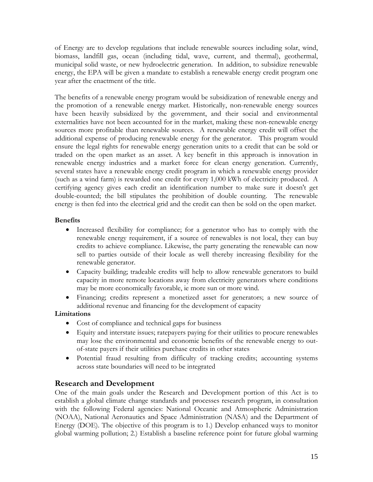of Energy are to develop regulations that include renewable sources including solar, wind, biomass, landfill gas, ocean (including tidal, wave, current, and thermal), geothermal, municipal solid waste, or new hydroelectric generation. In addition, to subsidize renewable energy, the EPA will be given a mandate to establish a renewable energy credit program one year after the enactment of the title.

The benefits of a renewable energy program would be subsidization of renewable energy and the promotion of a renewable energy market. Historically, non-renewable energy sources have been heavily subsidized by the government, and their social and environmental externalities have not been accounted for in the market, making these non-renewable energy sources more profitable than renewable sources. A renewable energy credit will offset the additional expense of producing renewable energy for the generator. This program would ensure the legal rights for renewable energy generation units to a credit that can be sold or traded on the open market as an asset. A key benefit in this approach is innovation in renewable energy industries and a market force for clean energy generation. Currently, several states have a renewable energy credit program in which a renewable energy provider (such as a wind farm) is rewarded one credit for every 1,000 kWh of electricity produced. A certifying agency gives each credit an identification number to make sure it doesn't get double-counted; the bill stipulates the prohibition of double counting. The renewable energy is then fed into the electrical grid and the credit can then be sold on the open market.

### **Benefits**

- Increased flexibility for compliance; for a generator who has to comply with the renewable energy requirement, if a source of renewables is not local, they can buy credits to achieve compliance. Likewise, the party generating the renewable can now sell to parties outside of their locale as well thereby increasing flexibility for the renewable generator.
- Capacity building; tradeable credits will help to allow renewable generators to build capacity in more remote locations away from electricity generators where conditions may be more economically favorable, ie more sun or more wind.
- Financing; credits represent a monetized asset for generators; a new source of additional revenue and financing for the development of capacity

### **Limitations**

- Cost of compliance and technical gaps for business
- Equity and interstate issues; ratepayers paying for their utilities to procure renewables may lose the environmental and economic benefits of the renewable energy to outof-state payers if their utilities purchase credits in other states
- Potential fraud resulting from difficulty of tracking credits; accounting systems across state boundaries will need to be integrated

### **Research and Development**

One of the main goals under the Research and Development portion of this Act is to establish a global climate change standards and processes research program, in consultation with the following Federal agencies: National Oceanic and Atmospheric Administration (NOAA), National Aeronautics and Space Administration (NASA) and the Department of Energy (DOE). The objective of this program is to 1.) Develop enhanced ways to monitor global warming pollution; 2.) Establish a baseline reference point for future global warming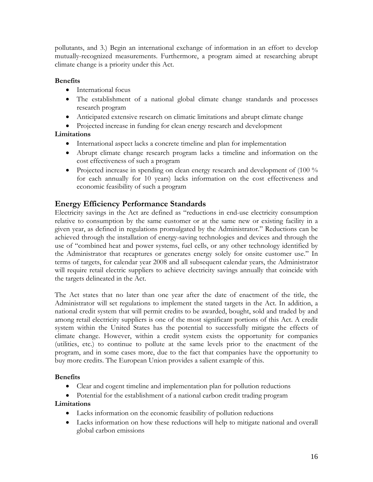pollutants, and 3.) Begin an international exchange of information in an effort to develop mutually-recognized measurements. Furthermore, a program aimed at researching abrupt climate change is a priority under this Act.

### **Benefits**

- International focus
- The establishment of a national global climate change standards and processes research program
- Anticipated extensive research on climatic limitations and abrupt climate change
- Projected increase in funding for clean energy research and development

### **Limitations**

- International aspect lacks a concrete timeline and plan for implementation
- Abrupt climate change research program lacks a timeline and information on the cost effectiveness of such a program
- Projected increase in spending on clean energy research and development of (100 %) for each annually for 10 years) lacks information on the cost effectiveness and economic feasibility of such a program

### **Energy Efficiency Performance Standards**

Electricity savings in the Act are defined as "reductions in end-use electricity consumption relative to consumption by the same customer or at the same new or existing facility in a given year, as defined in regulations promulgated by the Administrator." Reductions can be achieved through the installation of energy-saving technologies and devices and through the use of "combined heat and power systems, fuel cells, or any other technology identified by the Administrator that recaptures or generates energy solely for onsite customer use." In terms of targets, for calendar year 2008 and all subsequent calendar years, the Administrator will require retail electric suppliers to achieve electricity savings annually that coincide with the targets delineated in the Act.

The Act states that no later than one year after the date of enactment of the title, the Administrator will set regulations to implement the stated targets in the Act. In addition, a national credit system that will permit credits to be awarded, bought, sold and traded by and among retail electricity suppliers is one of the most significant portions of this Act. A credit system within the United States has the potential to successfully mitigate the effects of climate change. However, within a credit system exists the opportunity for companies (utilities, etc.) to continue to pollute at the same levels prior to the enactment of the program, and in some cases more, due to the fact that companies have the opportunity to buy more credits. The European Union provides a salient example of this.

### **Benefits**

- Clear and cogent timeline and implementation plan for pollution reductions
- Potential for the establishment of a national carbon credit trading program

### **Limitations**

- Lacks information on the economic feasibility of pollution reductions
- Lacks information on how these reductions will help to mitigate national and overall global carbon emissions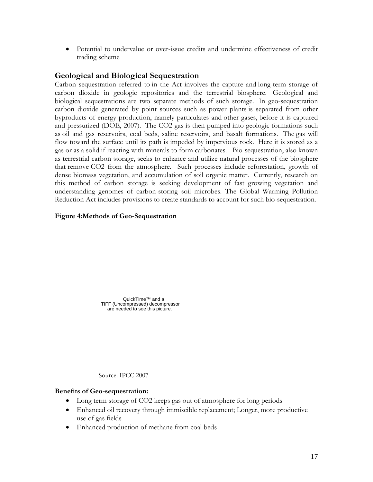• Potential to undervalue or over-issue credits and undermine effectiveness of credit trading scheme

### **Geological and Biological Sequestration**

Carbon sequestration referred to in the Act involves the capture and long-term storage of carbon dioxide in geologic repositories and the terrestrial biosphere. Geological and biological sequestrations are two separate methods of such storage. In geo-sequestration carbon dioxide generated by point sources such as power plants is separated from other byproducts of energy production, namely particulates and other gases, before it is captured and pressurized (DOE, 2007). The CO2 gas is then pumped into geologic formations such as oil and gas reservoirs, coal beds, saline reservoirs, and basalt formations. The gas will flow toward the surface until its path is impeded by impervious rock. Here it is stored as a gas or as a solid if reacting with minerals to form carbonates. Bio-sequestration, also known as terrestrial carbon storage, seeks to enhance and utilize natural processes of the biosphere that remove CO2 from the atmosphere. Such processes include reforestation, growth of dense biomass vegetation, and accumulation of soil organic matter. Currently, research on this method of carbon storage is seeking development of fast growing vegetation and understanding genomes of carbon-storing soil microbes. The Global Warming Pollution Reduction Act includes provisions to create standards to account for such bio-sequestration.

### **Figure 4:Methods of Geo-Sequestration**

QuickTime™ and a TIFF (Uncompressed) decompressor are needed to see this picture.

Source: IPCC 2007

### **Benefits of Geo-sequestration:**

- Long term storage of CO2 keeps gas out of atmosphere for long periods
- Enhanced oil recovery through immiscible replacement; Longer, more productive use of gas fields
- Enhanced production of methane from coal beds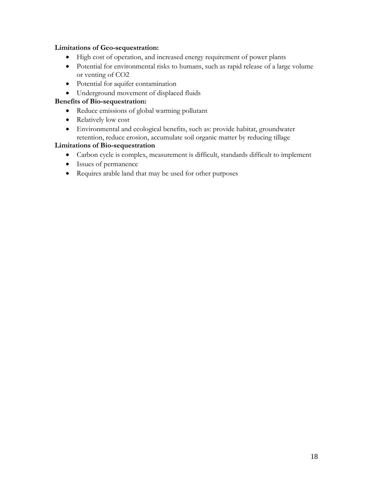### **Limitations of Geo-sequestration:**

- High cost of operation, and increased energy requirement of power plants
- Potential for environmental risks to humans, such as rapid release of a large volume or venting of CO2
- Potential for aquifer contamination
- Underground movement of displaced fluids

### **Benefits of Bio-sequestration:**

- Reduce emissions of global warming pollutant
- Relatively low cost
- Environmental and ecological benefits, such as: provide habitat, groundwater retention, reduce erosion, accumulate soil organic matter by reducing tillage

### **Limitations of Bio-sequestration**

- Carbon cycle is complex, measurement is difficult, standards difficult to implement
- Issues of permanence
- Requires arable land that may be used for other purposes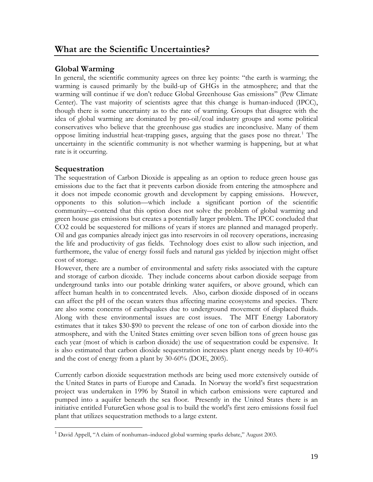### **Global Warming**

In general, the scientific community agrees on three key points: "the earth is warming; the warming is caused primarily by the build-up of GHGs in the atmosphere; and that the warming will continue if we don't reduce Global Greenhouse Gas emissions" (Pew Climate Center). The vast majority of scientists agree that this change is human-induced (IPCC), though there is some uncertainty as to the rate of warming. Groups that disagree with the idea of global warming are dominated by pro-oil/coal industry groups and some political conservatives who believe that the greenhouse gas studies are inconclusive. Many of them oppose limiting industrial heat-trapping gases, arguing that the gases pose no threat.<sup>[1](#page-20-0)</sup> The uncertainty in the scientific community is not whether warming is happening, but at what rate is it occurring.

### **Sequestration**

 $\overline{a}$ 

The sequestration of Carbon Dioxide is appealing as an option to reduce green house gas emissions due to the fact that it prevents carbon dioxide from entering the atmosphere and it does not impede economic growth and development by capping emissions. However, opponents to this solution—which include a significant portion of the scientific community—contend that this option does not solve the problem of global warming and green house gas emissions but creates a potentially larger problem. The IPCC concluded that CO2 could be sequestered for millions of years if stores are planned and managed properly. Oil and gas companies already inject gas into reservoirs in oil recovery operations, increasing the life and productivity of gas fields. Technology does exist to allow such injection, and furthermore, the value of energy fossil fuels and natural gas yielded by injection might offset cost of storage.

However, there are a number of environmental and safety risks associated with the capture and storage of carbon dioxide. They include concerns about carbon dioxide seepage from underground tanks into our potable drinking water aquifers, or above ground, which can affect human health in to concentrated levels. Also, carbon dioxide disposed of in oceans can affect the pH of the ocean waters thus affecting marine ecosystems and species. There are also some concerns of earthquakes due to underground movement of displaced fluids. Along with these environmental issues are cost issues. The MIT Energy Laboratory estimates that it takes \$30-\$90 to prevent the release of one ton of carbon dioxide into the atmosphere, and with the United States emitting over seven billion tons of green house gas each year (most of which is carbon dioxide) the use of sequestration could be expensive. It is also estimated that carbon dioxide sequestration increases plant energy needs by 10-40% and the cost of energy from a plant by 30-60% (DOE, 2005).

Currently carbon dioxide sequestration methods are being used more extensively outside of the United States in parts of Europe and Canada. In Norway the world's first sequestration project was undertaken in 1996 by Statoil in which carbon emissions were captured and pumped into a aquifer beneath the sea floor. Presently in the United States there is an initiative entitled FutureGen whose goal is to build the world's first zero emissions fossil fuel plant that utilizes sequestration methods to a large extent.

<span id="page-20-0"></span><sup>&</sup>lt;sup>1</sup> David Appell, "A claim of nonhuman-induced global warming sparks debate," August 2003.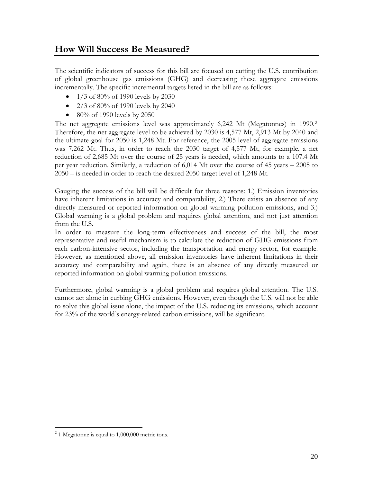### **How Will Success Be Measured?**

The scientific indicators of success for this bill are focused on cutting the U.S. contribution of global greenhouse gas emissions (GHG) and decreasing these aggregate emissions incrementally. The specific incremental targets listed in the bill are as follows:

- 1/3 of 80% of 1990 levels by 2030
- 2/3 of 80% of 1990 levels by 2040
- 80% of 1990 levels by 2050

The net aggregate emissions level was approximately 6,242 Mt (Megatonnes) in 1990.<sup>2</sup> Therefore, the net aggregate level to be achieved by 2030 is 4,577 Mt, 2,913 Mt by 2040 an[d](#page-21-0) the ultimate goal for 2050 is 1,248 Mt. For reference, the 2005 level of aggregate emissions was 7,262 Mt. Thus, in order to reach the 2030 target of 4,577 Mt, for example, a net reduction of 2,685 Mt over the course of 25 years is needed, which amounts to a 107.4 Mt per year reduction. Similarly, a reduction of 6,014 Mt over the course of 45 years – 2005 to 2050 – is needed in order to reach the desired 2050 target level of 1,248 Mt.

Gauging the success of the bill will be difficult for three reasons: 1.) Emission inventories have inherent limitations in accuracy and comparability, 2.) There exists an absence of any directly measured or reported information on global warming pollution emissions, and 3.) Global warming is a global problem and requires global attention, and not just attention from the U.S.

In order to measure the long-term effectiveness and success of the bill, the most representative and useful mechanism is to calculate the reduction of GHG emissions from each carbon-intensive sector, including the transportation and energy sector, for example. However, as mentioned above, all emission inventories have inherent limitations in their accuracy and comparability and again, there is an absence of any directly measured or reported information on global warming pollution emissions.

Furthermore, global warming is a global problem and requires global attention. The U.S. cannot act alone in curbing GHG emissions. However, even though the U.S. will not be able to solve this global issue alone, the impact of the U.S. reducing its emissions, which account for 23% of the world's energy-related carbon emissions, will be significant.

 $\overline{a}$ 

<span id="page-21-0"></span> $2<sup>2</sup>$  1 Megatonne is equal to 1,000,000 metric tons.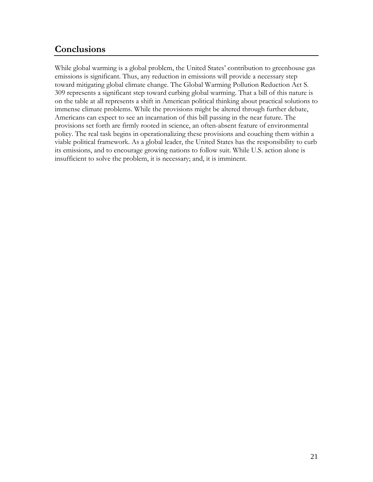### **Conclusions**

While global warming is a global problem, the United States' contribution to greenhouse gas emissions is significant. Thus, any reduction in emissions will provide a necessary step toward mitigating global climate change. The Global Warming Pollution Reduction Act S. 309 represents a significant step toward curbing global warming. That a bill of this nature is on the table at all represents a shift in American political thinking about practical solutions to immense climate problems. While the provisions might be altered through further debate, Americans can expect to see an incarnation of this bill passing in the near future. The provisions set forth are firmly rooted in science, an often-absent feature of environmental policy. The real task begins in operationalizing these provisions and couching them within a viable political framework. As a global leader, the United States has the responsibility to curb its emissions, and to encourage growing nations to follow suit. While U.S. action alone is insufficient to solve the problem, it is necessary; and, it is imminent.